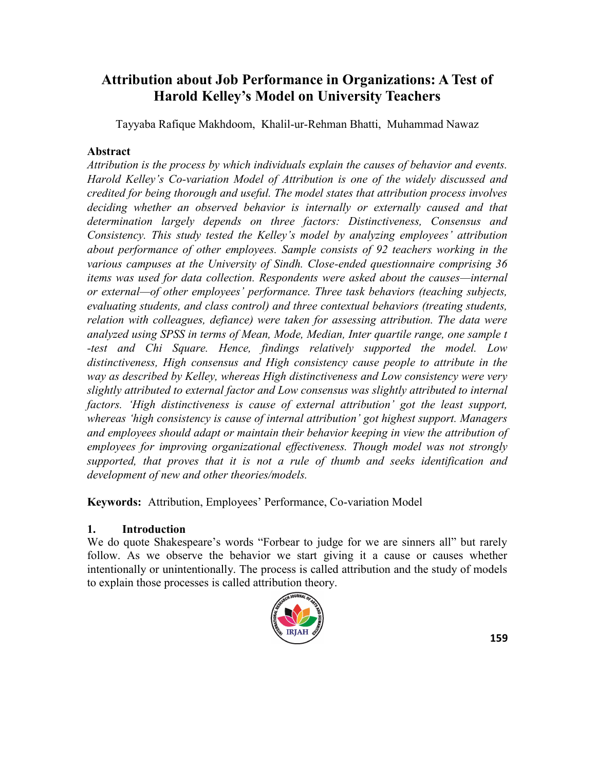# **Attribution about Job Performance in Organizations: A Test of Harold Kelley's Model on University Teachers**

Tayyaba Rafique Makhdoom, Khalil-ur-Rehman Bhatti, Muhammad Nawaz

#### **Abstract**

*Attribution is the process by which individuals explain the causes of behavior and events. Harold Kelley's Co-variation Model of Attribution is one of the widely discussed and credited for being thorough and useful. The model states that attribution process involves deciding whether an observed behavior is internally or externally caused and that determination largely depends on three factors: Distinctiveness, Consensus and Consistency. This study tested the Kelley's model by analyzing employees' attribution about performance of other employees. Sample consists of 92 teachers working in the various campuses at the University of Sindh. Close-ended questionnaire comprising 36 items was used for data collection. Respondents were asked about the causes—internal or external—of other employees' performance. Three task behaviors (teaching subjects, evaluating students, and class control) and three contextual behaviors (treating students, relation with colleagues, defiance) were taken for assessing attribution. The data were analyzed using SPSS in terms of Mean, Mode, Median, Inter quartile range, one sample t -test and Chi Square. Hence, findings relatively supported the model. Low distinctiveness, High consensus and High consistency cause people to attribute in the way as described by Kelley, whereas High distinctiveness and Low consistency were very slightly attributed to external factor and Low consensus was slightly attributed to internal factors. ‗High distinctiveness is cause of external attribution' got the least support, whereas ‗high consistency is cause of internal attribution' got highest support. Managers and employees should adapt or maintain their behavior keeping in view the attribution of employees for improving organizational effectiveness. Though model was not strongly supported, that proves that it is not a rule of thumb and seeks identification and development of new and other theories/models.*

**Keywords:** Attribution, Employees' Performance, Co-variation Model

#### **1. Introduction**

We do quote Shakespeare's words "Forbear to judge for we are sinners all" but rarely follow. As we observe the behavior we start giving it a cause or causes whether intentionally or unintentionally. The process is called attribution and the study of models to explain those processes is called attribution theory.

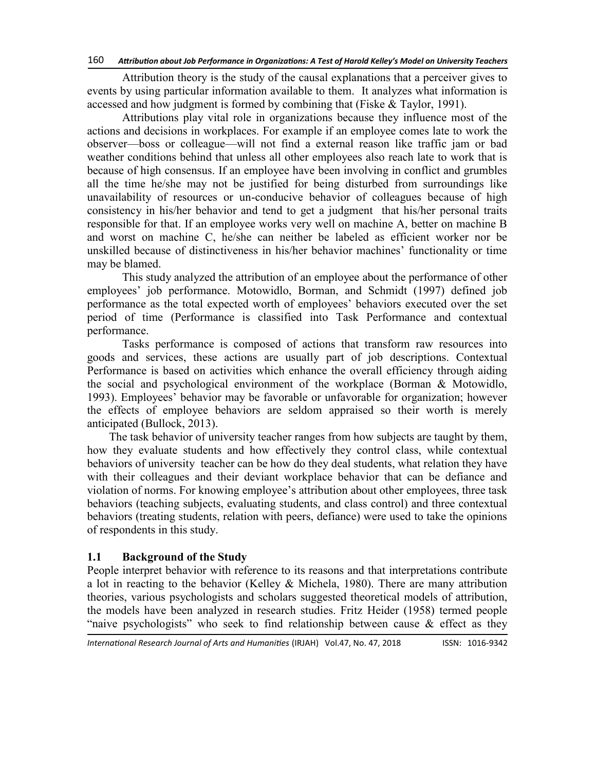Attribution theory is the study of the causal explanations that a perceiver gives to events by using particular information available to them. It analyzes what information is accessed and how judgment is formed by combining that (Fiske & Taylor, 1991).

Attributions play vital role in organizations because they influence most of the actions and decisions in workplaces. For example if an employee comes late to work the observer—boss or colleague—will not find a external reason like traffic jam or bad weather conditions behind that unless all other employees also reach late to work that is because of high consensus. If an employee have been involving in conflict and grumbles all the time he/she may not be justified for being disturbed from surroundings like unavailability of resources or un-conducive behavior of colleagues because of high consistency in his/her behavior and tend to get a judgment that his/her personal traits responsible for that. If an employee works very well on machine A, better on machine B and worst on machine C, he/she can neither be labeled as efficient worker nor be unskilled because of distinctiveness in his/her behavior machines' functionality or time may be blamed.

This study analyzed the attribution of an employee about the performance of other employees' job performance. Motowidlo, Borman, and Schmidt (1997) defined job performance as the total expected worth of employees' behaviors executed over the set period of time (Performance is classified into Task Performance and contextual performance.

Tasks performance is composed of actions that transform raw resources into goods and services, these actions are usually part of job descriptions. Contextual Performance is based on activities which enhance the overall efficiency through aiding the social and psychological environment of the workplace (Borman & Motowidlo, 1993). Employees' behavior may be favorable or unfavorable for organization; however the effects of employee behaviors are seldom appraised so their worth is merely anticipated (Bullock, 2013).

The task behavior of university teacher ranges from how subjects are taught by them, how they evaluate students and how effectively they control class, while contextual behaviors of university teacher can be how do they deal students, what relation they have with their colleagues and their deviant workplace behavior that can be defiance and violation of norms. For knowing employee's attribution about other employees, three task behaviors (teaching subjects, evaluating students, and class control) and three contextual behaviors (treating students, relation with peers, defiance) were used to take the opinions of respondents in this study.

#### **1.1 Background of the Study**

People interpret behavior with reference to its reasons and that interpretations contribute a lot in reacting to the behavior (Kelley & Michela, 1980). There are many attribution theories, various psychologists and scholars suggested theoretical models of attribution, the models have been analyzed in research studies. Fritz Heider (1958) termed people "naive psychologists" who seek to find relationship between cause  $\&$  effect as they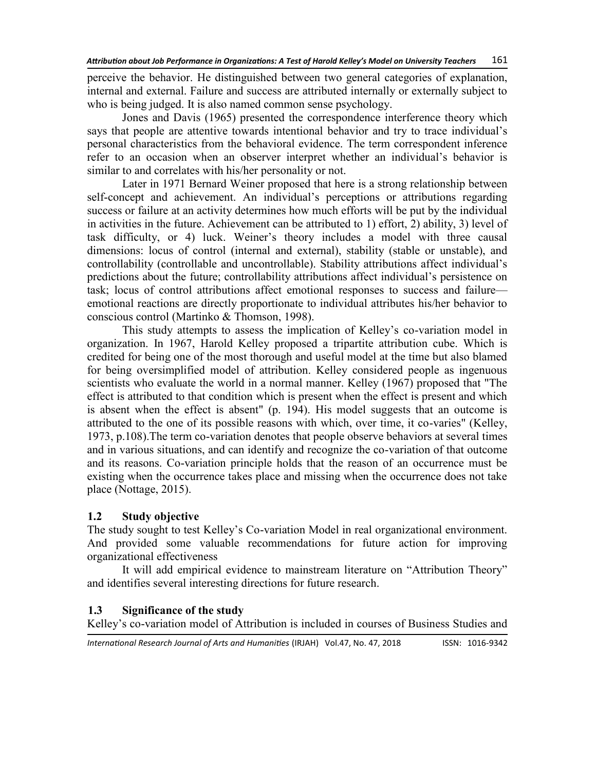perceive the behavior. He distinguished between two general categories of explanation, internal and external. Failure and success are attributed internally or externally subject to who is being judged. It is also named common sense psychology.

Jones and Davis (1965) presented the correspondence interference theory which says that people are attentive towards intentional behavior and try to trace individual's personal characteristics from the behavioral evidence. The term correspondent inference refer to an occasion when an observer interpret whether an individual's behavior is similar to and correlates with his/her personality or not.

Later in 1971 [Bernard Weiner](http://en.wikipedia.org/wiki/Bernard_Weiner) proposed that here is a strong relationship between self-concept and achievement. An individual's perceptions or attributions regarding success or failure at an activity determines how much efforts will be put by the individual in activities in the future. Achievement can be attributed to 1) effort, 2) ability, 3) level of task difficulty, or 4) luck. Weiner's theory includes a model with three causal dimensions: locus of control (internal and external), stability (stable or unstable), and controllability (controllable and uncontrollable). Stability attributions affect individual's predictions about the future; controllability attributions affect individual's persistence on task; locus of control attributions affect emotional responses to success and failure emotional reactions are directly proportionate to individual attributes his/her behavior to conscious control (Martinko & Thomson, 1998).

This study attempts to assess the implication of Kelley's co-variation model in organization. In 1967, Harold Kelley proposed a tripartite attribution cube. Which is credited for being one of the most thorough and useful model at the time but also blamed for being oversimplified model of attribution. Kelley considered people as ingenuous scientists who evaluate the world in a normal manner. Kelley (1967) proposed that "The effect is attributed to that condition which is present when the effect is present and which is absent when the effect is absent" (p. 194). His model suggests that an outcome is attributed to the one of its possible reasons with which, over time, it co-varies" (Kelley, 1973, p.108).The term co-variation denotes that people observe behaviors at several times and in various situations, and can identify and recognize the co-variation of that outcome and its reasons. Co-variation principle holds that the reason of an occurrence must be existing when the occurrence takes place and missing when the occurrence does not take place (Nottage, 2015).

#### **1.2 Study objective**

The study sought to test Kelley's Co-variation Model in real organizational environment. And provided some valuable recommendations for future action for improving organizational effectiveness

It will add empirical evidence to mainstream literature on "Attribution Theory" and identifies several interesting directions for future research.

#### **1.3 Significance of the study**

Kelley's co-variation model of Attribution is included in courses of Business Studies and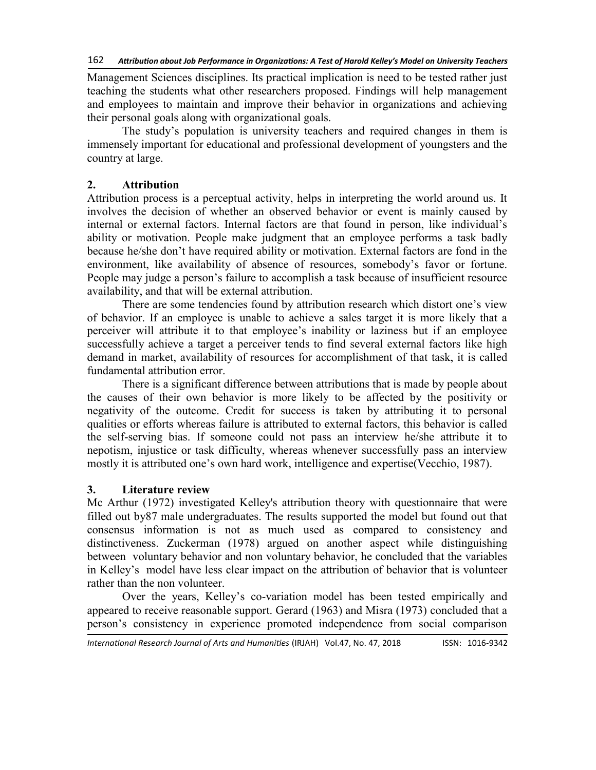Management Sciences disciplines. Its practical implication is need to be tested rather just teaching the students what other researchers proposed. Findings will help management and employees to maintain and improve their behavior in organizations and achieving their personal goals along with organizational goals.

The study's population is university teachers and required changes in them is immensely important for educational and professional development of youngsters and the country at large.

# **2. Attribution**

Attribution process is a perceptual activity, helps in interpreting the world around us. It involves the decision of whether an observed behavior or event is mainly caused by internal or external factors. Internal factors are that found in person, like individual's ability or motivation. People make judgment that an employee performs a task badly because he/she don't have required ability or motivation. External factors are fond in the environment, like availability of absence of resources, somebody's favor or fortune. People may judge a person's failure to accomplish a task because of insufficient resource availability, and that will be external attribution.

There are some tendencies found by attribution research which distort one's view of behavior. If an employee is unable to achieve a sales target it is more likely that a perceiver will attribute it to that employee's inability or laziness but if an employee successfully achieve a target a perceiver tends to find several external factors like high demand in market, availability of resources for accomplishment of that task, it is called fundamental attribution error.

There is a significant difference between attributions that is made by people about the causes of their own behavior is more likely to be affected by the positivity or negativity of the outcome. Credit for success is taken by attributing it to personal qualities or efforts whereas failure is attributed to external factors, this behavior is called the self-serving bias. If someone could not pass an interview he/she attribute it to nepotism, injustice or task difficulty, whereas whenever successfully pass an interview mostly it is attributed one's own hard work, intelligence and expertise(Vecchio, 1987).

#### **3. Literature review**

Mc Arthur (1972) investigated Kelley's attribution theory with questionnaire that were filled out by87 male undergraduates. The results supported the model but found out that consensus information is not as much used as compared to consistency and distinctiveness. Zuckerman (1978) argued on another aspect while distinguishing between voluntary behavior and non voluntary behavior, he concluded that the variables in Kelley's model have less clear impact on the attribution of behavior that is volunteer rather than the non volunteer.

Over the years, Kelley's co-variation model has been tested empirically and appeared to receive reasonable support. Gerard (1963) and Misra (1973) concluded that a person's consistency in experience promoted independence from social comparison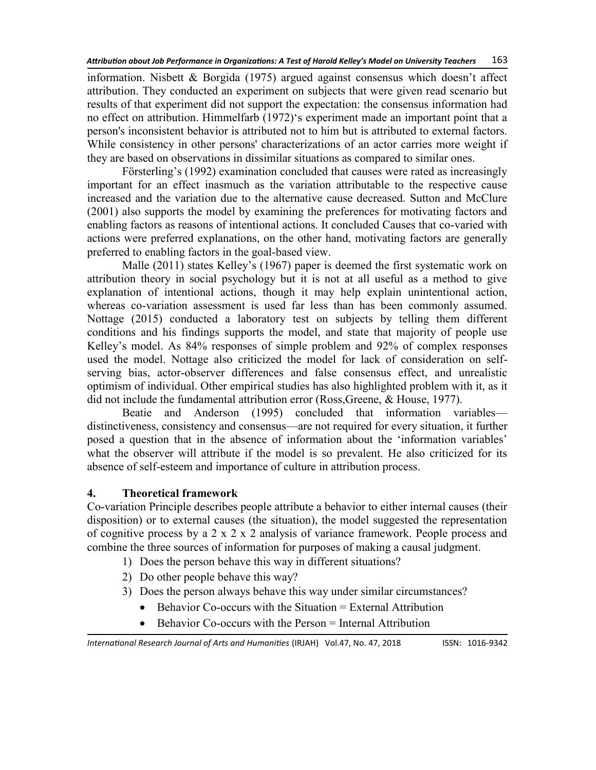information. Nisbett & Borgida (1975) argued against consensus which doesn't affect attribution. They conducted an experiment on subjects that were given read scenario but results of that experiment did not support the expectation: the consensus information had no effect on attribution. Himmelfarb (1972)'s experiment made an important point that a person's inconsistent behavior is attributed not to him but is attributed to external factors. While consistency in other persons' characterizations of an actor carries more weight if they are based on observations in dissimilar situations as compared to similar ones.

Försterling's (1992) examination concluded that causes were rated as increasingly important for an effect inasmuch as the variation attributable to the respective cause increased and the variation due to the alternative cause decreased. Sutton and McClure (2001) also supports the model by examining the preferences for motivating factors and enabling factors as reasons of intentional actions. It concluded Causes that co-varied with actions were preferred explanations, on the other hand, motivating factors are generally preferred to enabling factors in the goal-based view.

Malle (2011) states Kelley's (1967) paper is deemed the first systematic work on attribution theory in social psychology but it is not at all useful as a method to give explanation of intentional actions, though it may help explain unintentional action, whereas co-variation assessment is used far less than has been commonly assumed. Nottage (2015) conducted a laboratory test on subjects by telling them different conditions and his findings supports the model, and state that majority of people use Kelley's model. As 84% responses of simple problem and 92% of complex responses used the model. Nottage also criticized the model for lack of consideration on selfserving bias, actor-observer differences and false consensus effect, and unrealistic optimism of individual. Other empirical studies has also highlighted problem with it, as it did not include the fundamental attribution error (Ross,Greene, & House, 1977).

Beatie and Anderson (1995) concluded that information variables distinctiveness, consistency and consensus—are not required for every situation, it further posed a question that in the absence of information about the 'information variables' what the observer will attribute if the model is so prevalent. He also criticized for its absence of self-esteem and importance of culture in attribution process.

#### **4. Theoretical framework**

Co-variation Principle describes people attribute a behavior to either internal causes (their disposition) or to external causes (the situation), the model suggested the representation of cognitive process by a 2 x 2 x 2 analysis of variance framework. People process and combine the three sources of information for purposes of making a causal judgment.

- 1) Does the person behave this way in different situations?
- 2) Do other people behave this way?
- 3) Does the person always behave this way under similar circumstances?
	- $\bullet$  Behavior Co-occurs with the Situation = External Attribution
	- Behavior Co-occurs with the Person = Internal Attribution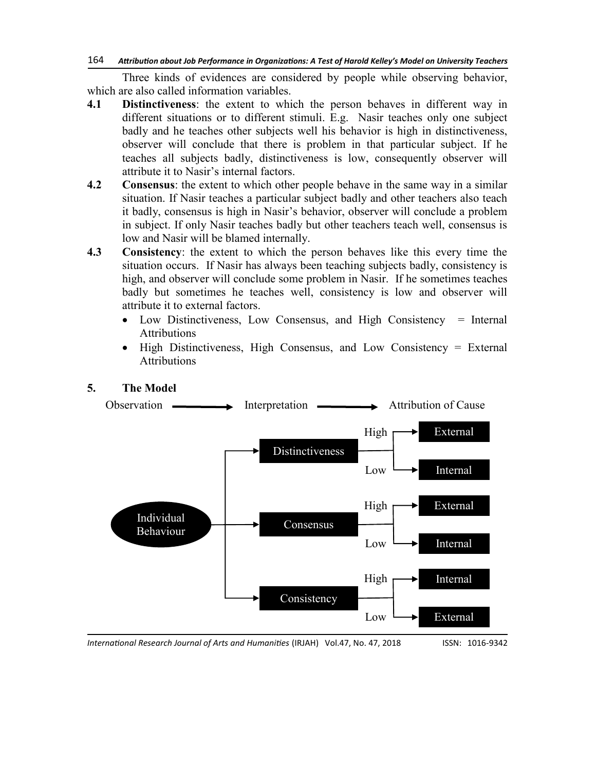Three kinds of evidences are considered by people while observing behavior, which are also called information variables.

- **4.1 Distinctiveness**: the extent to which the person behaves in different way in different situations or to different stimuli. E.g. Nasir teaches only one subject badly and he teaches other subjects well his behavior is high in distinctiveness, observer will conclude that there is problem in that particular subject. If he teaches all subjects badly, distinctiveness is low, consequently observer will attribute it to Nasir's internal factors.
- **4.2 Consensus**: the extent to which other people behave in the same way in a similar situation. If Nasir teaches a particular subject badly and other teachers also teach it badly, consensus is high in Nasir's behavior, observer will conclude a problem in subject. If only Nasir teaches badly but other teachers teach well, consensus is low and Nasir will be blamed internally.
- **4.3 Consistency**: the extent to which the person behaves like this every time the situation occurs. If Nasir has always been teaching subjects badly, consistency is high, and observer will conclude some problem in Nasir. If he sometimes teaches badly but sometimes he teaches well, consistency is low and observer will attribute it to external factors.
	- Low Distinctiveness, Low Consensus, and High Consistency = Internal Attributions
	- High Distinctiveness, High Consensus, and Low Consistency = External Attributions



# **5. The Model**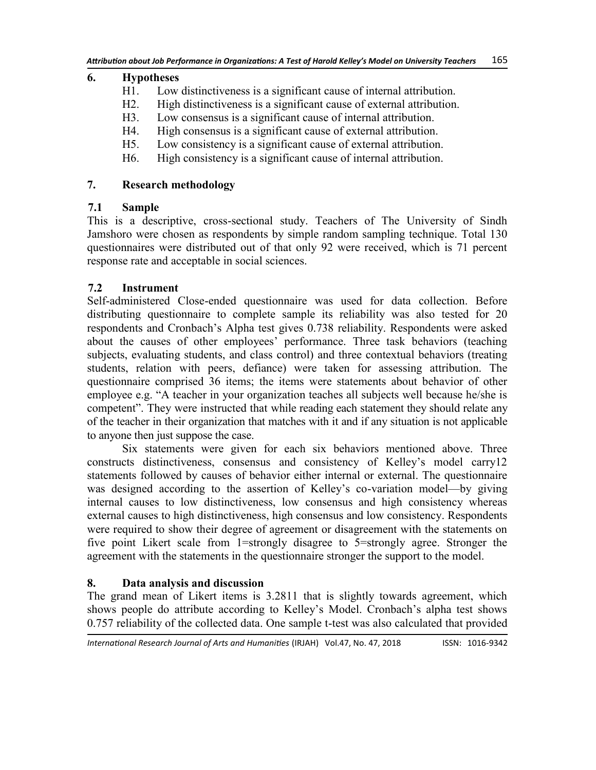#### **6. Hypotheses**

- H1. Low distinctiveness is a significant cause of internal attribution.
- H2. High distinctiveness is a significant cause of external attribution.
- H3. Low consensus is a significant cause of internal attribution.
- H4. High consensus is a significant cause of external attribution.
- H5. Low consistency is a significant cause of external attribution.
- H6. High consistency is a significant cause of internal attribution.

#### **7. Research methodology**

#### **7.1 Sample**

This is a descriptive, cross-sectional study. Teachers of The University of Sindh Jamshoro were chosen as respondents by simple random sampling technique. Total 130 questionnaires were distributed out of that only 92 were received, which is 71 percent response rate and acceptable in social sciences.

# **7.2 Instrument**

Self-administered Close-ended questionnaire was used for data collection. Before distributing questionnaire to complete sample its reliability was also tested for 20 respondents and Cronbach's Alpha test gives 0.738 reliability. Respondents were asked about the causes of other employees' performance. Three task behaviors (teaching subjects, evaluating students, and class control) and three contextual behaviors (treating students, relation with peers, defiance) were taken for assessing attribution. The questionnaire comprised 36 items; the items were statements about behavior of other employee e.g. "A teacher in your organization teaches all subjects well because he/she is competent". They were instructed that while reading each statement they should relate any of the teacher in their organization that matches with it and if any situation is not applicable to anyone then just suppose the case.

Six statements were given for each six behaviors mentioned above. Three constructs distinctiveness, consensus and consistency of Kelley's model carry12 statements followed by causes of behavior either internal or external. The questionnaire was designed according to the assertion of Kelley's co-variation model—by giving internal causes to low distinctiveness, low consensus and high consistency whereas external causes to high distinctiveness, high consensus and low consistency. Respondents were required to show their degree of agreement or disagreement with the statements on five point Likert scale from 1=strongly disagree to 5=strongly agree. Stronger the agreement with the statements in the questionnaire stronger the support to the model.

# **8. Data analysis and discussion**

The grand mean of Likert items is 3.2811 that is slightly towards agreement, which shows people do attribute according to Kelley's Model. Cronbach's alpha test shows 0.757 reliability of the collected data. One sample t-test was also calculated that provided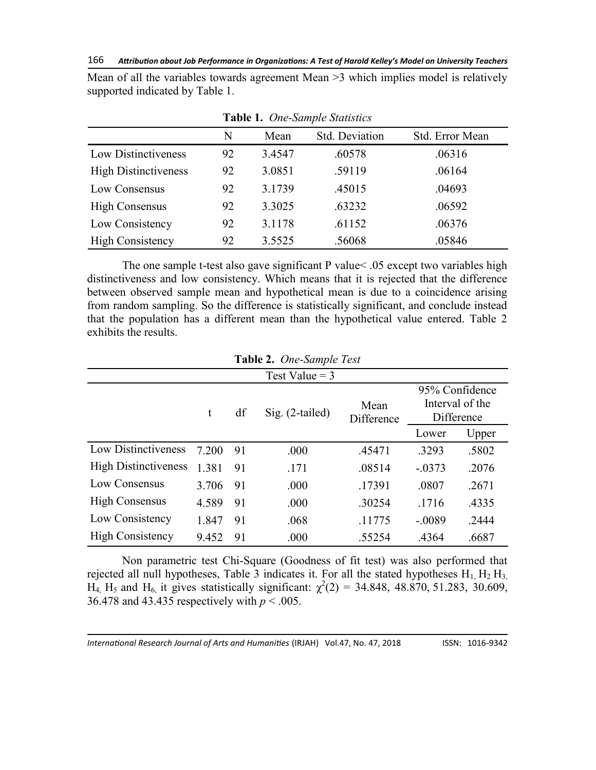Mean of all the variables towards agreement Mean >3 which implies model is relatively supported indicated by Table 1.

|                             | N  | Mean   | Std. Deviation | Std. Error Mean |
|-----------------------------|----|--------|----------------|-----------------|
| Low Distinctiveness         | 92 | 3.4547 | .60578         | .06316          |
| <b>High Distinctiveness</b> | 92 | 3.0851 | .59119         | .06164          |
| Low Consensus               | 92 | 3.1739 | .45015         | .04693          |
| <b>High Consensus</b>       | 92 | 3.3025 | .63232         | .06592          |
| Low Consistency             | 92 | 3.1178 | .61152         | .06376          |
| <b>High Consistency</b>     | 92 | 3.5525 | .56068         | .05846          |

**Table 1.** *One-Sample Statistics*

The one sample t-test also gave significant P value< .05 except two variables high distinctiveness and low consistency. Which means that it is rejected that the difference between observed sample mean and hypothetical mean is due to a coincidence arising from random sampling. So the difference is statistically significant, and conclude instead that the population has a different mean than the hypothetical value entered. Table 2 exhibits the results.

| Test Value $=$ 3            |       |    |                   |                    |          |                                                 |  |  |  |  |
|-----------------------------|-------|----|-------------------|--------------------|----------|-------------------------------------------------|--|--|--|--|
|                             | t     | df | $Sig. (2-tailed)$ | Mean<br>Difference |          | 95% Confidence<br>Interval of the<br>Difference |  |  |  |  |
|                             |       |    |                   |                    | Lower    | Upper                                           |  |  |  |  |
| Low Distinctiveness         | 7.200 | 91 | .000              | .45471             | .3293    | .5802                                           |  |  |  |  |
| <b>High Distinctiveness</b> | 1.381 | 91 | .171              | .08514             | $-.0373$ | .2076                                           |  |  |  |  |
| Low Consensus               | 3.706 | 91 | .000              | .17391             | .0807    | .2671                                           |  |  |  |  |
| <b>High Consensus</b>       | 4.589 | 91 | .000              | .30254             | .1716    | .4335                                           |  |  |  |  |
| Low Consistency             | 1.847 | 91 | .068              | .11775             | $-.0089$ | .2444                                           |  |  |  |  |
| <b>High Consistency</b>     | 9.452 | 91 | .000              | .55254             | .4364    | .6687                                           |  |  |  |  |

**Table 2.** *One-Sample Test*

Non parametric test Chi-Square (Goodness of fit test) was also performed that rejected all null hypotheses, Table 3 indicates it. For all the stated hypotheses  $H_1$ ,  $H_2$ ,  $H_3$ ,  $H_4$ ,  $H_5$  and  $H_6$ , it gives statistically significant:  $\chi^2(2) = 34.848$ , 48.870, 51.283, 30.609, 36.478 and 43.435 respectively with  $p < .005$ .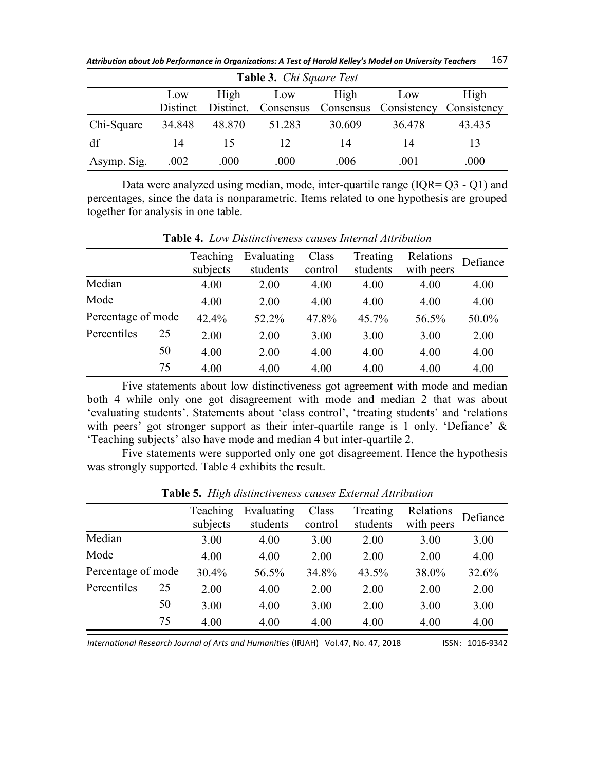*Attribution about Job Performance in Organizations: A Test of Harold Kelley's Model on University Teachers* 167

| <b>Table 3.</b> <i>Chi Square Test</i> |          |        |                     |        |                                   |        |  |  |  |  |
|----------------------------------------|----------|--------|---------------------|--------|-----------------------------------|--------|--|--|--|--|
|                                        | Low      | High   | Low                 | High   | Low                               | High   |  |  |  |  |
|                                        | Distinct |        | Distinct. Consensus |        | Consensus Consistency Consistency |        |  |  |  |  |
| Chi-Square                             | 34.848   | 48.870 | 51.283              | 30.609 | 36.478                            | 43.435 |  |  |  |  |
| df                                     | 14       | 15     | 12                  | 14     | 14                                | 13     |  |  |  |  |
| Asymp. Sig.                            | .002     | .000   | .000                | .006   | .001                              | .000   |  |  |  |  |

Data were analyzed using median, mode, inter-quartile range (IQR= Q3 - Q1) and percentages, since the data is nonparametric. Items related to one hypothesis are grouped together for analysis in one table.

|                    |    | Teaching<br>subjects | Evaluating<br>students | Class<br>control | Treating<br>students | Relations<br>with peers | Defiance |
|--------------------|----|----------------------|------------------------|------------------|----------------------|-------------------------|----------|
| Median             |    | 4.00                 | 2.00                   | 4.00             | 4.00                 | 4.00                    | 4.00     |
| Mode               |    | 4.00                 | 2.00                   | 4.00             | 4.00                 | 4.00                    | 4.00     |
| Percentage of mode |    | 42.4%                | 52.2%                  | 47.8%            | 45.7%                | 56.5%                   | 50.0%    |
| Percentiles        | 25 | 2.00                 | 2.00                   | 3.00             | 3.00                 | 3.00                    | 2.00     |
|                    | 50 | 4.00                 | 2.00                   | 4.00             | 4.00                 | 4.00                    | 4.00     |
|                    | 75 | 4.00                 | 4.00                   | 4.00             | 4.00                 | 4.00                    | 4.00     |

**Table 4.** *Low Distinctiveness causes Internal Attribution*

Five statements about low distinctiveness got agreement with mode and median both 4 while only one got disagreement with mode and median 2 that was about ‗evaluating students'. Statements about ‗class control', ‗treating students' and ‗relations with peers' got stronger support as their inter-quartile range is 1 only. 'Defiance'  $\&$ ‗Teaching subjects' also have mode and median 4 but inter-quartile 2.

Five statements were supported only one got disagreement. Hence the hypothesis was strongly supported. Table 4 exhibits the result.

| Teaching<br>Evaluating<br>Treating<br>Class<br>Relations<br>Defiance<br>students<br>students<br>subjects<br>control<br>with peers |        |      |      |      |      |      |       |
|-----------------------------------------------------------------------------------------------------------------------------------|--------|------|------|------|------|------|-------|
|                                                                                                                                   |        |      |      |      |      |      |       |
|                                                                                                                                   |        |      |      |      |      |      |       |
|                                                                                                                                   | Median | 3.00 | 4.00 | 3.00 | 2.00 | 3.00 | 3.00  |
| Mode<br>4.00<br>4.00<br>2.00<br>2.00<br>4.00<br>2.00                                                                              |        |      |      |      |      |      |       |
| Percentage of mode<br>30.4%<br>34.8%<br>38.0%<br>56.5%<br>43.5%                                                                   |        |      |      |      |      |      | 32.6% |
| Percentiles<br>25<br>2.00<br>4.00<br>2.00<br>2.00<br>2.00<br>2.00                                                                 |        |      |      |      |      |      |       |
| 50<br>3.00<br>3.00<br>3.00<br>4.00<br>2.00<br>3.00                                                                                |        |      |      |      |      |      |       |
| 75<br>4.00<br>4.00<br>4.00<br>4.00<br>4.00<br>4.00                                                                                |        |      |      |      |      |      |       |

**Table 5.** *High distinctiveness causes External Attribution*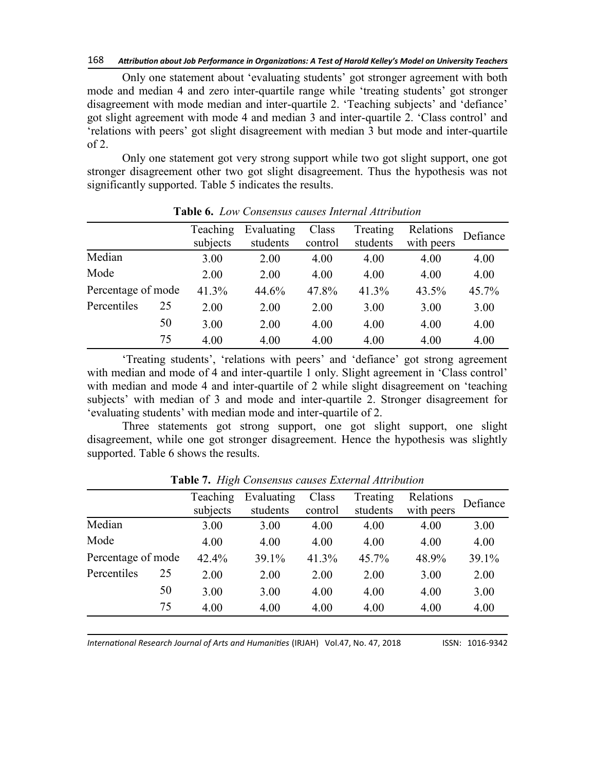#### 168 *Attribution about Job Performance in Organizations: A Test of Harold Kelley's Model on University Teachers*

Only one statement about 'evaluating students' got stronger agreement with both mode and median 4 and zero inter-quartile range while 'treating students' got stronger disagreement with mode median and inter-quartile 2. 'Teaching subjects' and 'defiance' got slight agreement with mode 4 and median 3 and inter-quartile 2. ‗Class control' and ‗relations with peers' got slight disagreement with median 3 but mode and inter-quartile of 2.

Only one statement got very strong support while two got slight support, one got stronger disagreement other two got slight disagreement. Thus the hypothesis was not significantly supported. Table 5 indicates the results.

|                    |    | Teaching<br>subjects | Evaluating<br>students | Class<br>control | Treating<br>students | Relations<br>with peers | Defiance |
|--------------------|----|----------------------|------------------------|------------------|----------------------|-------------------------|----------|
|                    |    |                      |                        |                  |                      |                         |          |
| Median             |    | 3.00                 | 2.00                   | 4.00             | 4.00                 | 4.00                    | 4.00     |
| Mode               |    | 2.00                 | 2.00                   | 4.00             | 4.00                 | 4.00                    | 4.00     |
| Percentage of mode |    | 41.3%                | 44.6%                  | 47.8%            | 41.3%                | 43.5%                   | 45.7%    |
| Percentiles        | 25 | 2.00                 | 2.00                   | 2.00             | 3.00                 | 3.00                    | 3.00     |
|                    | 50 | 3.00                 | 2.00                   | 4.00             | 4.00                 | 4.00                    | 4.00     |
|                    | 75 | 4.00                 | 4.00                   | 4.00             | 4.00                 | 4.00                    | 4.00     |

**Table 6.** *Low Consensus causes Internal Attribution*

‗Treating students', ‗relations with peers' and ‗defiance' got strong agreement with median and mode of 4 and inter-quartile 1 only. Slight agreement in 'Class control' with median and mode 4 and inter-quartile of 2 while slight disagreement on 'teaching subjects' with median of 3 and mode and inter-quartile 2. Stronger disagreement for ‗evaluating students' with median mode and inter-quartile of 2.

Three statements got strong support, one got slight support, one slight disagreement, while one got stronger disagreement. Hence the hypothesis was slightly supported. Table 6 shows the results.

| Median<br>3.00<br>4.00<br>4.00<br>3.00<br>4.00<br>Mode<br>4.00<br>4.00<br>4.00<br>4.00<br>4.00<br>Percentage of mode<br>42.4%<br>39.1%<br>41.3%<br>45.7%<br>48.9%<br>Percentiles<br>25<br>2.00<br>2.00<br>2.00<br>2.00<br>3.00<br>50<br>3.00<br>4.00<br>4.00<br>3.00<br>4.00<br>75 |  | Teaching<br>subjects | Evaluating<br>students | Class<br>control | Treating<br>students | Relations<br>with peers | Defiance |
|------------------------------------------------------------------------------------------------------------------------------------------------------------------------------------------------------------------------------------------------------------------------------------|--|----------------------|------------------------|------------------|----------------------|-------------------------|----------|
|                                                                                                                                                                                                                                                                                    |  |                      |                        |                  |                      |                         | 3.00     |
|                                                                                                                                                                                                                                                                                    |  |                      |                        |                  |                      |                         | 4.00     |
|                                                                                                                                                                                                                                                                                    |  |                      |                        |                  |                      |                         | 39.1%    |
|                                                                                                                                                                                                                                                                                    |  |                      |                        |                  |                      |                         | 2.00     |
|                                                                                                                                                                                                                                                                                    |  |                      |                        |                  |                      |                         | 3.00     |
|                                                                                                                                                                                                                                                                                    |  | 4.00                 | 4.00                   | 4.00             | 4.00                 | 4.00                    | 4.00     |

**Table 7.** *High Consensus causes External Attribution*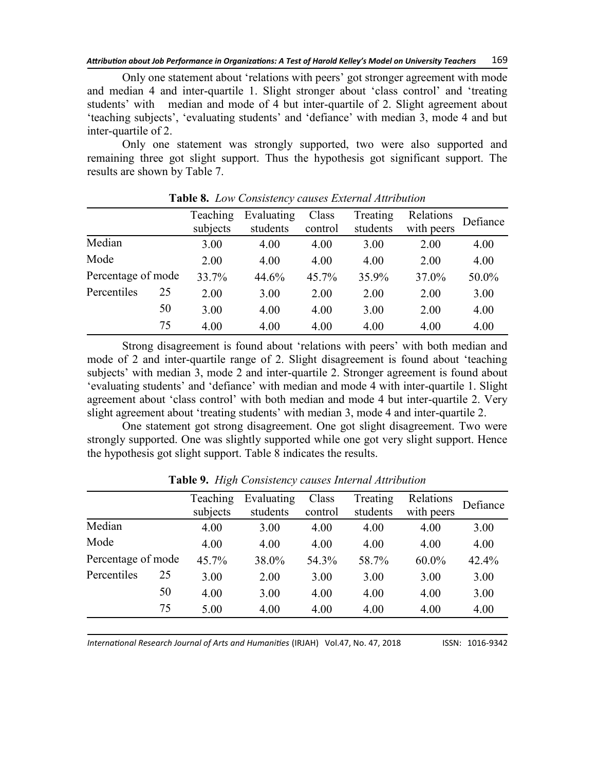Only one statement about 'relations with peers' got stronger agreement with mode and median 4 and inter-quartile 1. Slight stronger about 'class control' and 'treating students' with median and mode of 4 but inter-quartile of 2. Slight agreement about ‗teaching subjects', ‗evaluating students' and ‗defiance' with median 3, mode 4 and but inter-quartile of 2.

Only one statement was strongly supported, two were also supported and remaining three got slight support. Thus the hypothesis got significant support. The results are shown by Table 7.

|                    |    | Teaching | Evaluating | Class   | Treating | Relations  | Defiance |
|--------------------|----|----------|------------|---------|----------|------------|----------|
|                    |    | subjects | students   | control | students | with peers |          |
| Median             |    | 3.00     | 4.00       | 4.00    | 3.00     | 2.00       | 4.00     |
| Mode               |    | 2.00     | 4.00       | 4.00    | 4.00     | 2.00       | 4.00     |
| Percentage of mode |    | 33.7%    | 44.6%      | 45.7%   | 35.9%    | 37.0%      | 50.0%    |
| Percentiles        | 25 | 2.00     | 3.00       | 2.00    | 2.00     | 2.00       | 3.00     |
|                    | 50 | 3.00     | 4.00       | 4.00    | 3.00     | 2.00       | 4.00     |
|                    | 75 | 4.00     | 4.00       | 4.00    | 4.00     | 4.00       | 4.00     |

**Table 8.** *Low Consistency causes External Attribution*

Strong disagreement is found about 'relations with peers' with both median and mode of 2 and inter-quartile range of 2. Slight disagreement is found about 'teaching subjects' with median 3, mode 2 and inter-quartile 2. Stronger agreement is found about ‗evaluating students' and ‗defiance' with median and mode 4 with inter-quartile 1. Slight agreement about 'class control' with both median and mode 4 but inter-quartile 2. Very slight agreement about 'treating students' with median 3, mode 4 and inter-quartile 2.

One statement got strong disagreement. One got slight disagreement. Two were strongly supported. One was slightly supported while one got very slight support. Hence the hypothesis got slight support. Table 8 indicates the results.

|                    | Teaching<br>subjects | Evaluating<br>students | Class<br>control | Treating<br>students | Relations<br>with peers | Defiance |
|--------------------|----------------------|------------------------|------------------|----------------------|-------------------------|----------|
| Median             | 4.00                 | 3.00                   | 4.00             | 4.00                 | 4.00                    | 3.00     |
| Mode               | 4.00                 | 4.00                   | 4.00             | 4.00                 | 4.00                    | 4.00     |
| Percentage of mode | 45.7%                | 38.0%                  | 54.3%            | 58.7%                | $60.0\%$                | 42.4%    |
| Percentiles<br>25  | 3.00                 | 2.00                   | 3.00             | 3.00                 | 3.00                    | 3.00     |
| 50                 | 4.00                 | 3.00                   | 4.00             | 4.00                 | 4.00                    | 3.00     |
| 75                 | 5.00                 | 4.00                   | 4.00             | 4.00                 | 4.00                    | 4.00     |

**Table 9.** *High Consistency causes Internal Attribution*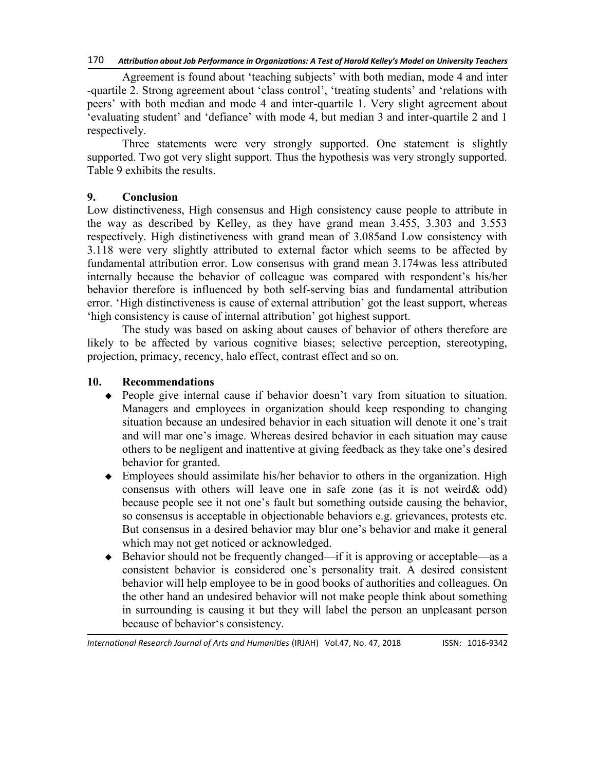Agreement is found about 'teaching subjects' with both median, mode 4 and inter -quartile 2. Strong agreement about 'class control', 'treating students' and 'relations with peers' with both median and mode 4 and inter-quartile 1. Very slight agreement about ‗evaluating student' and ‗defiance' with mode 4, but median 3 and inter-quartile 2 and 1 respectively.

Three statements were very strongly supported. One statement is slightly supported. Two got very slight support. Thus the hypothesis was very strongly supported. Table 9 exhibits the results.

#### **9. Conclusion**

Low distinctiveness, High consensus and High consistency cause people to attribute in the way as described by Kelley, as they have grand mean 3.455, 3.303 and 3.553 respectively. High distinctiveness with grand mean of 3.085and Low consistency with 3.118 were very slightly attributed to external factor which seems to be affected by fundamental attribution error. Low consensus with grand mean 3.174was less attributed internally because the behavior of colleague was compared with respondent's his/her behavior therefore is influenced by both self-serving bias and fundamental attribution error. ‗High distinctiveness is cause of external attribution' got the least support, whereas ‗high consistency is cause of internal attribution' got highest support.

The study was based on asking about causes of behavior of others therefore are likely to be affected by various cognitive biases; selective perception, stereotyping, projection, primacy, recency, halo effect, contrast effect and so on.

#### **10. Recommendations**

- People give internal cause if behavior doesn't vary from situation to situation. Managers and employees in organization should keep responding to changing situation because an undesired behavior in each situation will denote it one's trait and will mar one's image. Whereas desired behavior in each situation may cause others to be negligent and inattentive at giving feedback as they take one's desired behavior for granted.
- Employees should assimilate his/her behavior to others in the organization. High consensus with others will leave one in safe zone (as it is not weird& odd) because people see it not one's fault but something outside causing the behavior, so consensus is acceptable in objectionable behaviors e.g. grievances, protests etc. But consensus in a desired behavior may blur one's behavior and make it general which may not get noticed or acknowledged.
- ◆ Behavior should not be frequently changed—if it is approving or acceptable—as a consistent behavior is considered one's personality trait. A desired consistent behavior will help employee to be in good books of authorities and colleagues. On the other hand an undesired behavior will not make people think about something in surrounding is causing it but they will label the person an unpleasant person because of behavior's consistency.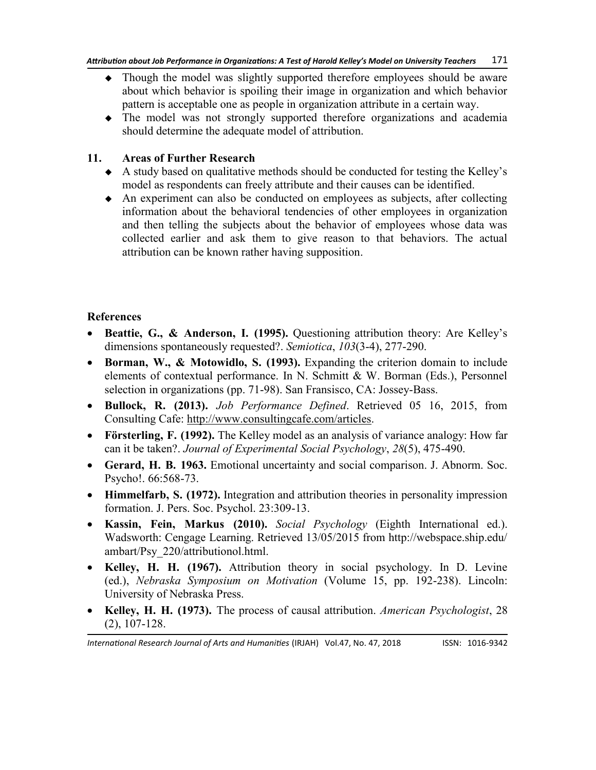- Though the model was slightly supported therefore employees should be aware about which behavior is spoiling their image in organization and which behavior pattern is acceptable one as people in organization attribute in a certain way.
- The model was not strongly supported therefore organizations and academia should determine the adequate model of attribution.

#### **11. Areas of Further Research**

- A study based on qualitative methods should be conducted for testing the Kelley's model as respondents can freely attribute and their causes can be identified.
- An experiment can also be conducted on employees as subjects, after collecting information about the behavioral tendencies of other employees in organization and then telling the subjects about the behavior of employees whose data was collected earlier and ask them to give reason to that behaviors. The actual attribution can be known rather having supposition.

# **References**

- **Beattie, G., & Anderson, I. (1995).** Questioning attribution theory: Are Kelley's dimensions spontaneously requested?. *Semiotica*, *103*(3-4), 277-290.
- **Borman, W., & Motowidlo, S. (1993).** Expanding the criterion domain to include elements of contextual performance. In N. Schmitt & W. Borman (Eds.), Personnel selection in organizations (pp. 71-98). San Fransisco, CA: Jossey-Bass.
- **Bullock, R. (2013).** *Job Performance Defined*. Retrieved 05 16, 2015, from Consulting Cafe: [http://www.consultingcafe.com/articles.](http://www.consultingcafe.com/articles)
- **Försterling, F. (1992).** The Kelley model as an analysis of variance analogy: How far can it be taken?. *Journal of Experimental Social Psychology*, *28*(5), 475-490.
- **Gerard, H. B. 1963.** Emotional uncertainty and social comparison. J. Abnorm. Soc. Psycho!. 66:568-73.
- **Himmelfarb, S. (1972).** Integration and attribution theories in personality impression formation. J. Pers. Soc. Psychol. 23:309-13.
- **Kassin, Fein, Markus (2010).** *Social Psychology* (Eighth International ed.). Wadsworth: Cengage Learning. Retrieved 13/05/2015 from http:/[/webspace.ship.edu/](http://webspace.ship.edu/ambart/Psy_220/attributionol.htm) [ambart/Psy\\_220/attributionol.html](http://webspace.ship.edu/ambart/Psy_220/attributionol.htm).
- **Kelley, H. H. (1967).** Attribution theory in social psychology. In D. Levine (ed.), *Nebraska Symposium on Motivation* (Volume 15, pp. 192-238). Lincoln: University of Nebraska Press.
- **Kelley, H. H. (1973).** The process of causal attribution. *American Psychologist*, 28 (2), 107-128.